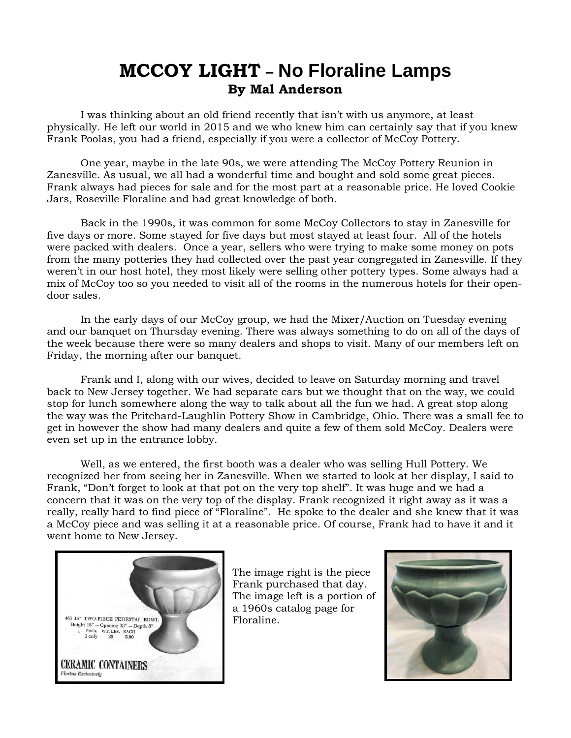## **MCCOY LIGHT – No Floraline Lamps By Mal Anderson**

I was thinking about an old friend recently that isn't with us anymore, at least physically. He left our world in 2015 and we who knew him can certainly say that if you knew Frank Poolas, you had a friend, especially if you were a collector of McCoy Pottery.

 One year, maybe in the late 90s, we were attending The McCoy Pottery Reunion in Zanesville. As usual, we all had a wonderful time and bought and sold some great pieces. Frank always had pieces for sale and for the most part at a reasonable price. He loved Cookie Jars, Roseville Floraline and had great knowledge of both.

 Back in the 1990s, it was common for some McCoy Collectors to stay in Zanesville for five days or more. Some stayed for five days but most stayed at least four. All of the hotels were packed with dealers. Once a year, sellers who were trying to make some money on pots from the many potteries they had collected over the past year congregated in Zanesville. If they weren't in our host hotel, they most likely were selling other pottery types. Some always had a mix of McCoy too so you needed to visit all of the rooms in the numerous hotels for their opendoor sales.

 In the early days of our McCoy group, we had the Mixer/Auction on Tuesday evening and our banquet on Thursday evening. There was always something to do on all of the days of the week because there were so many dealers and shops to visit. Many of our members left on Friday, the morning after our banquet.

 Frank and I, along with our wives, decided to leave on Saturday morning and travel back to New Jersey together. We had separate cars but we thought that on the way, we could stop for lunch somewhere along the way to talk about all the fun we had. A great stop along the way was the Pritchard-Laughlin Pottery Show in Cambridge, Ohio. There was a small fee to get in however the show had many dealers and quite a few of them sold McCoy. Dealers were even set up in the entrance lobby.

 Well, as we entered, the first booth was a dealer who was selling Hull Pottery. We recognized her from seeing her in Zanesville. When we started to look at her display, I said to Frank, "Don't forget to look at that pot on the very top shelf". It was huge and we had a concern that it was on the very top of the display. Frank recognized it right away as it was a really, really hard to find piece of "Floraline". He spoke to the dealer and she knew that it was a McCoy piece and was selling it at a reasonable price. Of course, Frank had to have it and it went home to New Jersey.



The image right is the piece Frank purchased that day. The image left is a portion of a 1960s catalog page for Floraline.